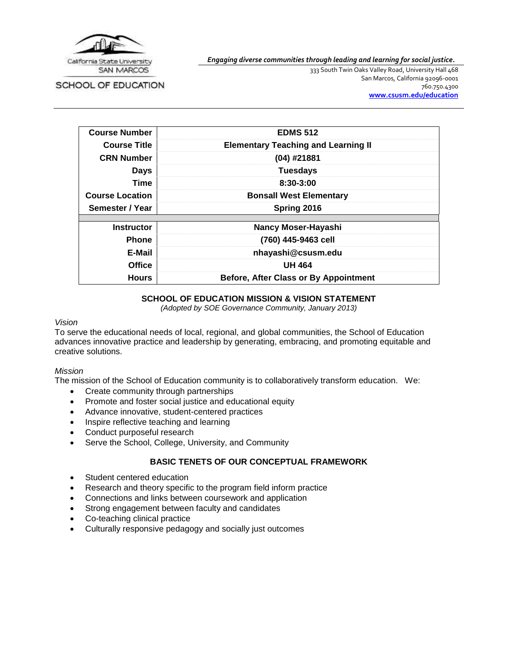

SCHOOL OF EDUCATION

*Engaging diverse communities through leading and learning for social justice.*

333 South Twin Oaks Valley Road, University Hall 468 San Marcos, California 92096-0001 760.750.4300 **[www.csusm.edu/education](http://www.csusm.edu/education)**

| <b>Course Number</b>   | <b>EDMS 512</b>                              |  |
|------------------------|----------------------------------------------|--|
| <b>Course Title</b>    | <b>Elementary Teaching and Learning II</b>   |  |
| <b>CRN Number</b>      | $(04)$ #21881                                |  |
| <b>Days</b>            | <b>Tuesdays</b>                              |  |
| Time                   | 8:30-3:00                                    |  |
| <b>Course Location</b> | <b>Bonsall West Elementary</b>               |  |
| Semester / Year        | Spring 2016                                  |  |
|                        |                                              |  |
| <b>Instructor</b>      | <b>Nancy Moser-Hayashi</b>                   |  |
| <b>Phone</b>           | (760) 445-9463 cell                          |  |
| E-Mail                 | nhayashi@csusm.edu                           |  |
| <b>Office</b>          | <b>UH 464</b>                                |  |
| <b>Hours</b>           | <b>Before, After Class or By Appointment</b> |  |

### **SCHOOL OF EDUCATION MISSION & VISION STATEMENT**

*(Adopted by SOE Governance Community, January 2013)*

#### *Vision*

To serve the educational needs of local, regional, and global communities, the School of Education advances innovative practice and leadership by generating, embracing, and promoting equitable and creative solutions.

#### *Mission*

The mission of the School of Education community is to collaboratively transform education. We:

- Create community through partnerships
- Promote and foster social justice and educational equity
- Advance innovative, student-centered practices
- Inspire reflective teaching and learning
- Conduct purposeful research
- Serve the School, College, University, and Community

#### **BASIC TENETS OF OUR CONCEPTUAL FRAMEWORK**

- Student centered education
- Research and theory specific to the program field inform practice
- Connections and links between coursework and application
- Strong engagement between faculty and candidates
- Co-teaching clinical practice
- Culturally responsive pedagogy and socially just outcomes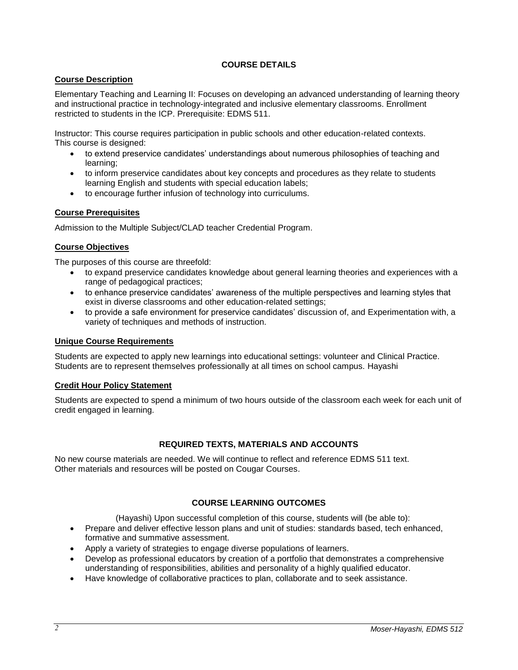# **COURSE DETAILS**

## **Course Description**

Elementary Teaching and Learning II: Focuses on developing an advanced understanding of learning theory and instructional practice in technology-integrated and inclusive elementary classrooms. Enrollment restricted to students in the ICP. Prerequisite: EDMS 511.

Instructor: This course requires participation in public schools and other education-related contexts. This course is designed:

- to extend preservice candidates' understandings about numerous philosophies of teaching and learning;
- to inform preservice candidates about key concepts and procedures as they relate to students learning English and students with special education labels;
- to encourage further infusion of technology into curriculums.

### **Course Prerequisites**

Admission to the Multiple Subject/CLAD teacher Credential Program.

### **Course Objectives**

The purposes of this course are threefold:

- to expand preservice candidates knowledge about general learning theories and experiences with a range of pedagogical practices;
- to enhance preservice candidates' awareness of the multiple perspectives and learning styles that exist in diverse classrooms and other education-related settings;
- to provide a safe environment for preservice candidates' discussion of, and Experimentation with, a variety of techniques and methods of instruction.

### **Unique Course Requirements**

Students are expected to apply new learnings into educational settings: volunteer and Clinical Practice. Students are to represent themselves professionally at all times on school campus. Hayashi

### **Credit Hour Policy Statement**

Students are expected to spend a minimum of two hours outside of the classroom each week for each unit of credit engaged in learning.

### **REQUIRED TEXTS, MATERIALS AND ACCOUNTS**

No new course materials are needed. We will continue to reflect and reference EDMS 511 text. Other materials and resources will be posted on Cougar Courses.

# **COURSE LEARNING OUTCOMES**

(Hayashi) Upon successful completion of this course, students will (be able to):

- Prepare and deliver effective lesson plans and unit of studies: standards based, tech enhanced, formative and summative assessment.
- Apply a variety of strategies to engage diverse populations of learners.
- Develop as professional educators by creation of a portfolio that demonstrates a comprehensive understanding of responsibilities, abilities and personality of a highly qualified educator.
- Have knowledge of collaborative practices to plan, collaborate and to seek assistance.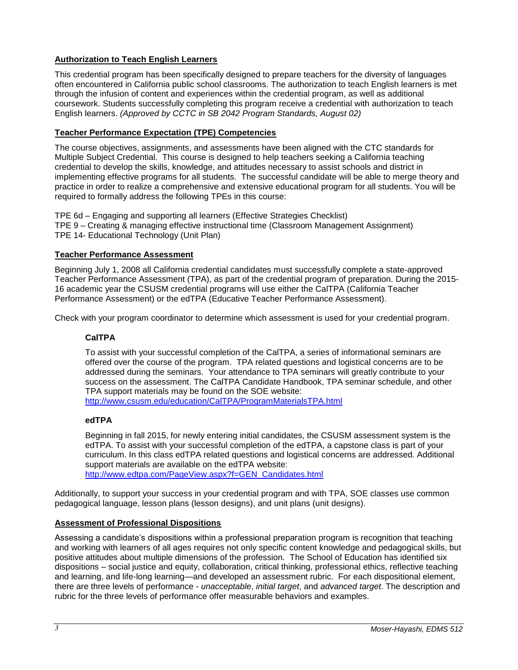# **Authorization to Teach English Learners**

This credential program has been specifically designed to prepare teachers for the diversity of languages often encountered in California public school classrooms. The authorization to teach English learners is met through the infusion of content and experiences within the credential program, as well as additional coursework. Students successfully completing this program receive a credential with authorization to teach English learners. *(Approved by CCTC in SB 2042 Program Standards, August 02)*

### **Teacher Performance Expectation (TPE) Competencies**

The course objectives, assignments, and assessments have been aligned with the CTC standards for Multiple Subject Credential. This course is designed to help teachers seeking a California teaching credential to develop the skills, knowledge, and attitudes necessary to assist schools and district in implementing effective programs for all students. The successful candidate will be able to merge theory and practice in order to realize a comprehensive and extensive educational program for all students. You will be required to formally address the following TPEs in this course:

TPE 6d – Engaging and supporting all learners (Effective Strategies Checklist) TPE 9 – Creating & managing effective instructional time (Classroom Management Assignment) TPE 14- Educational Technology (Unit Plan)

### **Teacher Performance Assessment**

Beginning July 1, 2008 all California credential candidates must successfully complete a state-approved Teacher Performance Assessment (TPA), as part of the credential program of preparation. During the 2015- 16 academic year the CSUSM credential programs will use either the CalTPA (California Teacher Performance Assessment) or the edTPA (Educative Teacher Performance Assessment).

Check with your program coordinator to determine which assessment is used for your credential program.

# **CalTPA**

To assist with your successful completion of the CalTPA, a series of informational seminars are offered over the course of the program. TPA related questions and logistical concerns are to be addressed during the seminars. Your attendance to TPA seminars will greatly contribute to your success on the assessment. The CalTPA Candidate Handbook, TPA seminar schedule, and other TPA support materials may be found on the SOE website: <http://www.csusm.edu/education/CalTPA/ProgramMaterialsTPA.html>

### **edTPA**

Beginning in fall 2015, for newly entering initial candidates, the CSUSM assessment system is the edTPA. To assist with your successful completion of the edTPA, a capstone class is part of your curriculum. In this class edTPA related questions and logistical concerns are addressed. Additional support materials are available on the edTPA website: [http://www.edtpa.com/PageView.aspx?f=GEN\\_Candidates.html](http://www.edtpa.com/PageView.aspx?f=GEN_Candidates.html)

Additionally, to support your success in your credential program and with TPA, SOE classes use common

pedagogical language, lesson plans (lesson designs), and unit plans (unit designs).

### **Assessment of Professional Dispositions**

Assessing a candidate's dispositions within a professional preparation program is recognition that teaching and working with learners of all ages requires not only specific content knowledge and pedagogical skills, but positive attitudes about multiple dimensions of the profession. The School of Education has identified six dispositions – social justice and equity, collaboration, critical thinking, professional ethics, reflective teaching and learning, and life-long learning—and developed an assessment rubric. For each dispositional element, there are three levels of performance - *unacceptable*, *initial target*, and *advanced target*. The description and rubric for the three levels of performance offer measurable behaviors and examples.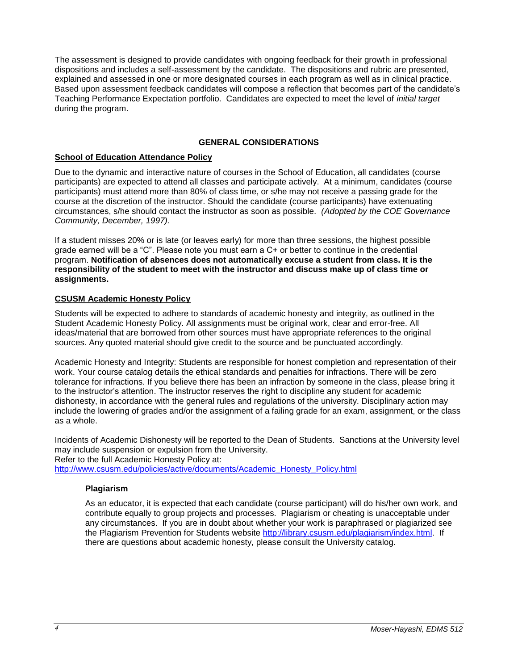The assessment is designed to provide candidates with ongoing feedback for their growth in professional dispositions and includes a self-assessment by the candidate. The dispositions and rubric are presented, explained and assessed in one or more designated courses in each program as well as in clinical practice. Based upon assessment feedback candidates will compose a reflection that becomes part of the candidate's Teaching Performance Expectation portfolio. Candidates are expected to meet the level of *initial target* during the program.

### **GENERAL CONSIDERATIONS**

### **School of Education Attendance Policy**

Due to the dynamic and interactive nature of courses in the School of Education, all candidates (course participants) are expected to attend all classes and participate actively. At a minimum, candidates (course participants) must attend more than 80% of class time, or s/he may not receive a passing grade for the course at the discretion of the instructor. Should the candidate (course participants) have extenuating circumstances, s/he should contact the instructor as soon as possible. *(Adopted by the COE Governance Community, December, 1997).*

If a student misses 20% or is late (or leaves early) for more than three sessions, the highest possible grade earned will be a "C". Please note you must earn a C+ or better to continue in the credential program. **Notification of absences does not automatically excuse a student from class. It is the responsibility of the student to meet with the instructor and discuss make up of class time or assignments.**

### **CSUSM Academic Honesty Policy**

Students will be expected to adhere to standards of academic honesty and integrity, as outlined in the Student Academic Honesty Policy. All assignments must be original work, clear and error-free. All ideas/material that are borrowed from other sources must have appropriate references to the original sources. Any quoted material should give credit to the source and be punctuated accordingly.

Academic Honesty and Integrity: Students are responsible for honest completion and representation of their work. Your course catalog details the ethical standards and penalties for infractions. There will be zero tolerance for infractions. If you believe there has been an infraction by someone in the class, please bring it to the instructor's attention. The instructor reserves the right to discipline any student for academic dishonesty, in accordance with the general rules and regulations of the university. Disciplinary action may include the lowering of grades and/or the assignment of a failing grade for an exam, assignment, or the class as a whole.

Incidents of Academic Dishonesty will be reported to the Dean of Students. Sanctions at the University level may include suspension or expulsion from the University.

Refer to the full Academic Honesty Policy at:

[http://www.csusm.edu/policies/active/documents/Academic\\_Honesty\\_Policy.html](http://www.csusm.edu/policies/active/documents/Academic_Honesty_Policy.html)

### **Plagiarism**

As an educator, it is expected that each candidate (course participant) will do his/her own work, and contribute equally to group projects and processes. Plagiarism or cheating is unacceptable under any circumstances. If you are in doubt about whether your work is paraphrased or plagiarized see the Plagiarism Prevention for Students website [http://library.csusm.edu/plagiarism/index.html.](http://library.csusm.edu/plagiarism/index.html) If there are questions about academic honesty, please consult the University catalog.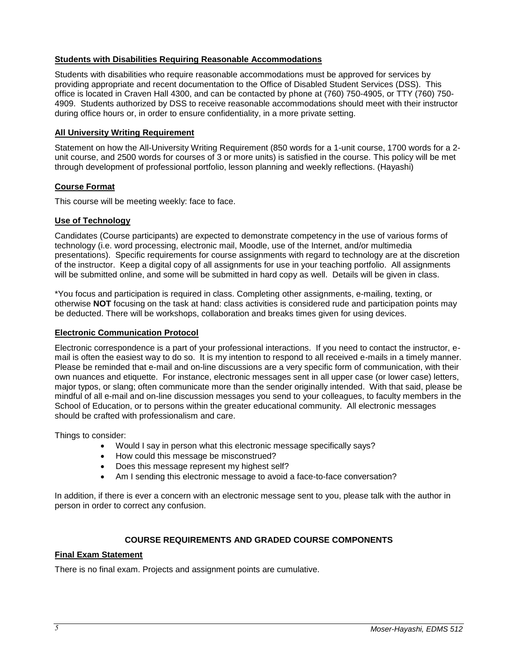### **Students with Disabilities Requiring Reasonable Accommodations**

Students with disabilities who require reasonable accommodations must be approved for services by providing appropriate and recent documentation to the Office of Disabled Student Services (DSS). This office is located in Craven Hall 4300, and can be contacted by phone at (760) 750-4905, or TTY (760) 750- 4909. Students authorized by DSS to receive reasonable accommodations should meet with their instructor during office hours or, in order to ensure confidentiality, in a more private setting.

#### **All University Writing Requirement**

Statement on how the All-University Writing Requirement (850 words for a 1-unit course, 1700 words for a 2 unit course, and 2500 words for courses of 3 or more units) is satisfied in the course. This policy will be met through development of professional portfolio, lesson planning and weekly reflections. (Hayashi)

#### **Course Format**

This course will be meeting weekly: face to face.

#### **Use of Technology**

Candidates (Course participants) are expected to demonstrate competency in the use of various forms of technology (i.e. word processing, electronic mail, Moodle, use of the Internet, and/or multimedia presentations). Specific requirements for course assignments with regard to technology are at the discretion of the instructor. Keep a digital copy of all assignments for use in your teaching portfolio. All assignments will be submitted online, and some will be submitted in hard copy as well. Details will be given in class.

\*You focus and participation is required in class. Completing other assignments, e-mailing, texting, or otherwise **NOT** focusing on the task at hand: class activities is considered rude and participation points may be deducted. There will be workshops, collaboration and breaks times given for using devices.

#### **Electronic Communication Protocol**

Electronic correspondence is a part of your professional interactions. If you need to contact the instructor, email is often the easiest way to do so. It is my intention to respond to all received e-mails in a timely manner. Please be reminded that e-mail and on-line discussions are a very specific form of communication, with their own nuances and etiquette. For instance, electronic messages sent in all upper case (or lower case) letters, major typos, or slang; often communicate more than the sender originally intended. With that said, please be mindful of all e-mail and on-line discussion messages you send to your colleagues, to faculty members in the School of Education, or to persons within the greater educational community. All electronic messages should be crafted with professionalism and care.

Things to consider:

- Would I say in person what this electronic message specifically says?
- How could this message be misconstrued?
- Does this message represent my highest self?
- Am I sending this electronic message to avoid a face-to-face conversation?

In addition, if there is ever a concern with an electronic message sent to you, please talk with the author in person in order to correct any confusion.

### **COURSE REQUIREMENTS AND GRADED COURSE COMPONENTS**

#### **Final Exam Statement**

There is no final exam. Projects and assignment points are cumulative.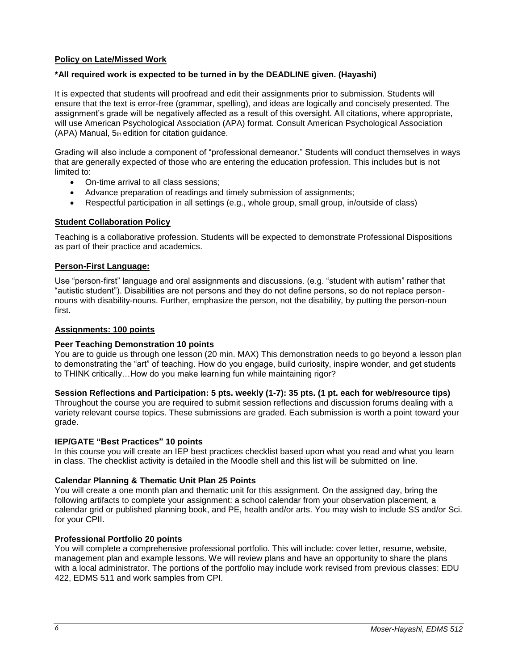### **Policy on Late/Missed Work**

#### **\*All required work is expected to be turned in by the DEADLINE given. (Hayashi)**

It is expected that students will proofread and edit their assignments prior to submission. Students will ensure that the text is error-free (grammar, spelling), and ideas are logically and concisely presented. The assignment's grade will be negatively affected as a result of this oversight. All citations, where appropriate, will use American Psychological Association (APA) format. Consult American Psychological Association (APA) Manual, 5th edition for citation guidance.

Grading will also include a component of "professional demeanor." Students will conduct themselves in ways that are generally expected of those who are entering the education profession. This includes but is not limited to:

- On-time arrival to all class sessions;
- Advance preparation of readings and timely submission of assignments;
- Respectful participation in all settings (e.g., whole group, small group, in/outside of class)

#### **Student Collaboration Policy**

Teaching is a collaborative profession. Students will be expected to demonstrate Professional Dispositions as part of their practice and academics.

#### **Person-First Language:**

Use "person-first" language and oral assignments and discussions. (e.g. "student with autism" rather that "autistic student"). Disabilities are not persons and they do not define persons, so do not replace personnouns with disability-nouns. Further, emphasize the person, not the disability, by putting the person-noun first.

#### **Assignments: 100 points**

#### **Peer Teaching Demonstration 10 points**

You are to guide us through one lesson (20 min. MAX) This demonstration needs to go beyond a lesson plan to demonstrating the "art" of teaching. How do you engage, build curiosity, inspire wonder, and get students to THINK critically…How do you make learning fun while maintaining rigor?

#### **Session Reflections and Participation: 5 pts. weekly (1-7): 35 pts. (1 pt. each for web/resource tips)**

Throughout the course you are required to submit session reflections and discussion forums dealing with a variety relevant course topics. These submissions are graded. Each submission is worth a point toward your grade.

#### **IEP/GATE "Best Practices" 10 points**

In this course you will create an IEP best practices checklist based upon what you read and what you learn in class. The checklist activity is detailed in the Moodle shell and this list will be submitted on line.

#### **Calendar Planning & Thematic Unit Plan 25 Points**

You will create a one month plan and thematic unit for this assignment. On the assigned day, bring the following artifacts to complete your assignment: a school calendar from your observation placement, a calendar grid or published planning book, and PE, health and/or arts. You may wish to include SS and/or Sci. for your CPII.

#### **Professional Portfolio 20 points**

You will complete a comprehensive professional portfolio. This will include: cover letter, resume, website, management plan and example lessons. We will review plans and have an opportunity to share the plans with a local administrator. The portions of the portfolio may include work revised from previous classes: EDU 422, EDMS 511 and work samples from CPI.